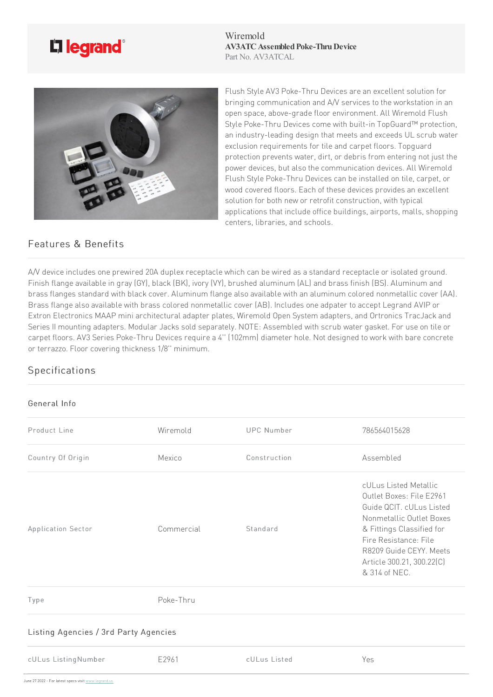

Wiremold **AV3ATC Assembled Poke-Thru Device** Part No. AV3ATCAL



Flush Style AV3 Poke-Thru Devices are an excellent solution for bringing communication and  $A/V$  services to the workstation in an open space, above-grade floor environment. All Wiremold Flush Style Poke-Thru Devices come with built-in TopGuard™ protection, an industry-leading design that meets and exceeds UL scrub water exclusion requirements for tile and carpet floors. Topguard protection prevents water, dirt, or debris from entering not just the power devices, but also the communication devices. All Wiremold Flush Style Poke-Thru Devices can be installed on tile, carpet, or wood covered floors. Each of these devices provides an excellent solution for both new or retrofit construction, with typical applications that include office buildings, airports, malls, shopping centers, libraries, and schools.

## Features & Benefits

A/V device includes one prewired 20A duplex receptacle which can be wired as a standard receptacle or isolated ground. Finish flange available in gray (GY), black (BK), ivory (VY), brushed aluminum (AL) and brass finish (BS). Aluminum and brass flanges standard with black cover. Aluminum flange also available with an aluminum colored nonmetallic cover (AA). Brass flange also available with brass colored nonmetallic cover (AB). Includes one adpater to accept Legrand AVIP or Extron Electronics MAAP mini architectural adapter plates, Wiremold Open System adapters, and Ortronics TracJack and Series II mounting adapters. Modular Jacks sold separately. NOTE: Assembled with scrub water gasket. For use on tile or carpet floors. AV3 Series Poke-Thru Devices require a 4" (102mm) diameter hole. Not designed to work with bare concrete or terrazzo. Floor covering thickness 1/8" minimum.

## Specifications

## General Info

| Product Line                          | Wiremold   | <b>UPC Number</b> | 786564015628                                                                                                                                                                                                                             |
|---------------------------------------|------------|-------------------|------------------------------------------------------------------------------------------------------------------------------------------------------------------------------------------------------------------------------------------|
| Country Of Origin                     | Mexico     | Construction      | Assembled                                                                                                                                                                                                                                |
| Application Sector                    | Commercial | Standard          | cULus Listed Metallic<br>Outlet Boxes: File E2961<br>Guide QCIT. cULus Listed<br>Nonmetallic Outlet Boxes<br>& Fittings Classified for<br>Fire Resistance: File<br>R8209 Guide CEYY. Meets<br>Article 300.21, 300.22(C)<br>& 314 of NEC. |
| Type                                  | Poke-Thru  |                   |                                                                                                                                                                                                                                          |
| Listing Agencies / 3rd Party Agencies |            |                   |                                                                                                                                                                                                                                          |
| cULus ListingNumber                   | E2961      | cULus Listed      | Yes                                                                                                                                                                                                                                      |